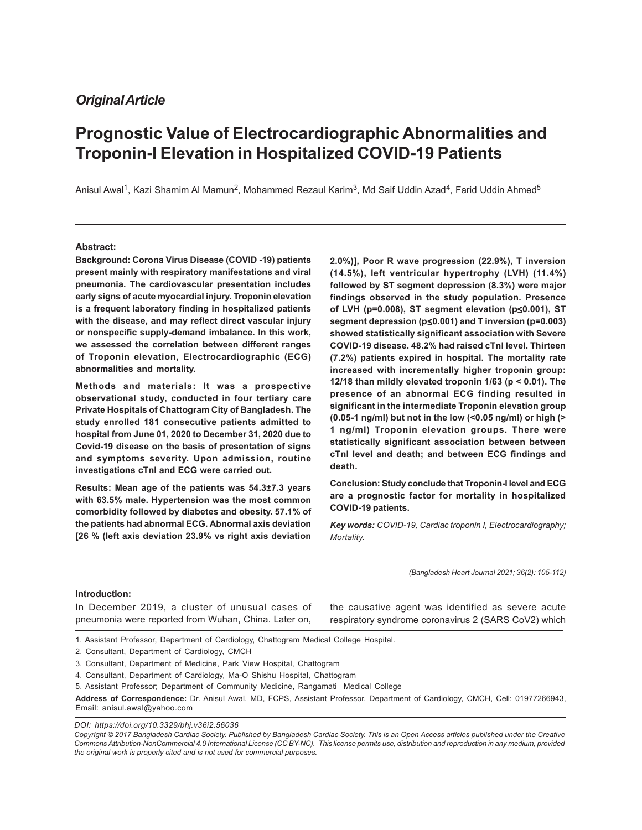# **Prognostic Value of Electrocardiographic Abnormalities and Troponin-I Elevation in Hospitalized COVID-19 Patients**

Anisul Awal<sup>1</sup>, Kazi Shamim Al Mamun<sup>2</sup>, Mohammed Rezaul Karim<sup>3</sup>, Md Saif Uddin Azad<sup>4</sup>, Farid Uddin Ahmed<sup>5</sup>

#### **Abstract:**

**Background: Corona Virus Disease (COVID -19) patients present mainly with respiratory manifestations and viral pneumonia. The cardiovascular presentation includes early signs of acute myocardial injury. Troponin elevation is a frequent laboratory finding in hospitalized patients with the disease, and may reflect direct vascular injury or nonspecific supply-demand imbalance. In this work, we assessed the correlation between different ranges of Troponin elevation, Electrocardiographic (ECG) abnormalities and mortality.**

**Methods and materials: It was a prospective observational study, conducted in four tertiary care Private Hospitals of Chattogram City of Bangladesh. The study enrolled 181 consecutive patients admitted to hospital from June 01, 2020 to December 31, 2020 due to Covid-19 disease on the basis of presentation of signs and symptoms severity. Upon admission, routine investigations cTnI and ECG were carried out.**

**Results: Mean age of the patients was 54.3±7.3 years with 63.5% male. Hypertension was the most common comorbidity followed by diabetes and obesity. 57.1% of the patients had abnormal ECG. Abnormal axis deviation [26 % (left axis deviation 23.9% vs right axis deviation**

**2.0%)], Poor R wave progression (22.9%), T inversion (14.5%), left ventricular hypertrophy (LVH) (11.4%) followed by ST segment depression (8.3%) were major findings observed in the study population. Presence of LVH (p=0.008), ST segment elevation (p**≤**0.001), ST segment depression (p**≤**0.001) and T inversion (p=0.003) showed statistically significant association with Severe COVID-19 disease. 48.2% had raised cTnI level. Thirteen (7.2%) patients expired in hospital. The mortality rate increased with incrementally higher troponin group: 12/18 than mildly elevated troponin 1/63 (p < 0.01). The presence of an abnormal ECG finding resulted in significant in the intermediate Troponin elevation group (0.05-1 ng/ml) but not in the low (<0.05 ng/ml) or high (> 1 ng/ml) Troponin elevation groups. There were statistically significant association between between cTnI level and death; and between ECG findings and death.**

**Conclusion: Study conclude that Troponin-I level and ECG are a prognostic factor for mortality in hospitalized COVID-19 patients.**

*Key words: COVID-19, Cardiac troponin I, Electrocardiography; Mortality.*

*(Bangladesh Heart Journal 2021; 36(2): 105-112)*

#### **Introduction:**

In December 2019, a cluster of unusual cases of pneumonia were reported from Wuhan, China. Later on,

the causative agent was identified as severe acute respiratory syndrome coronavirus 2 (SARS CoV2) which

1. Assistant Professor, Department of Cardiology, Chattogram Medical College Hospital.

2. Consultant, Department of Cardiology, CMCH

3. Consultant, Department of Medicine, Park View Hospital, Chattogram

4. Consultant, Department of Cardiology, Ma-O Shishu Hospital, Chattogram

5. Assistant Professor; Department of Community Medicine, Rangamati Medical College

**Address of Correspondence:** Dr. Anisul Awal, MD, FCPS, Assistant Professor, Department of Cardiology, CMCH, Cell: 01977266943, Email: anisul.awal@yahoo.com

*DOI: https://doi.org/10.3329/bhj.v36i2.56036*

*Copyright © 2017 Bangladesh Cardiac Society. Published by Bangladesh Cardiac Society. This is an Open Access articles published under the Creative Commons Attribution-NonCommercial 4.0 International License (CC BY-NC). This license permits use, distribution and reproduction in any medium, provided the original work is properly cited and is not used for commercial purposes.*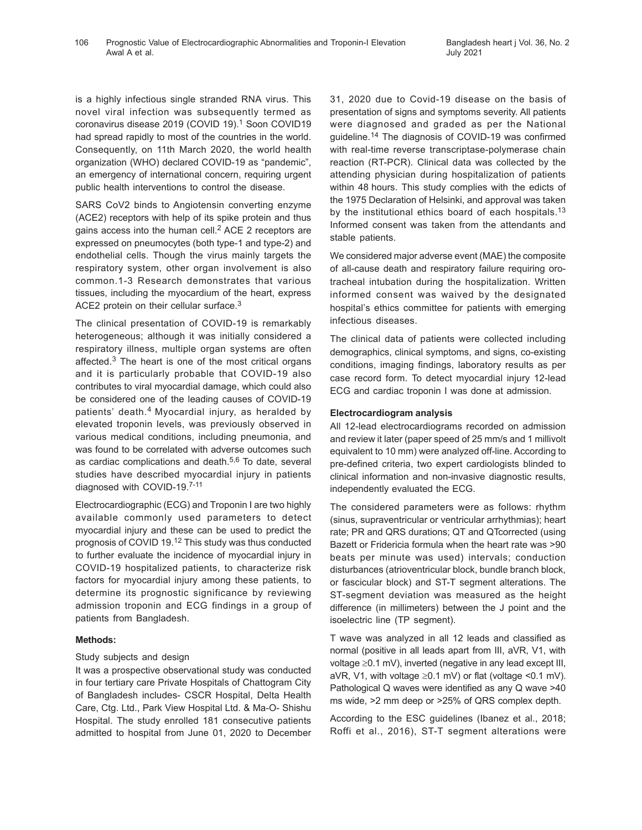is a highly infectious single stranded RNA virus. This novel viral infection was subsequently termed as coronavirus disease 2019 (COVID 19).<sup>1</sup> Soon COVID19 had spread rapidly to most of the countries in the world. Consequently, on 11th March 2020, the world health organization (WHO) declared COVID-19 as "pandemic", an emergency of international concern, requiring urgent public health interventions to control the disease.

SARS CoV2 binds to Angiotensin converting enzyme (ACE2) receptors with help of its spike protein and thus gains access into the human cell.<sup>2</sup> ACE 2 receptors are expressed on pneumocytes (both type-1 and type-2) and endothelial cells. Though the virus mainly targets the respiratory system, other organ involvement is also common.1-3 Research demonstrates that various tissues, including the myocardium of the heart, express ACE2 protein on their cellular surface.<sup>3</sup>

The clinical presentation of COVID-19 is remarkably heterogeneous; although it was initially considered a respiratory illness, multiple organ systems are often affected.<sup>3</sup> The heart is one of the most critical organs and it is particularly probable that COVID-19 also contributes to viral myocardial damage, which could also be considered one of the leading causes of COVID-19 patients' death.4 Myocardial injury, as heralded by elevated troponin levels, was previously observed in various medical conditions, including pneumonia, and was found to be correlated with adverse outcomes such as cardiac complications and death.5,6 To date, several studies have described myocardial injury in patients diagnosed with COVID-19.7-11

Electrocardiographic (ECG) and Troponin I are two highly available commonly used parameters to detect myocardial injury and these can be used to predict the prognosis of COVID 19.12 This study was thus conducted to further evaluate the incidence of myocardial injury in COVID-19 hospitalized patients, to characterize risk factors for myocardial injury among these patients, to determine its prognostic significance by reviewing admission troponin and ECG findings in a group of patients from Bangladesh.

# **Methods:**

# Study subjects and design

It was a prospective observational study was conducted in four tertiary care Private Hospitals of Chattogram City of Bangladesh includes- CSCR Hospital, Delta Health Care, Ctg. Ltd., Park View Hospital Ltd. & Ma-O- Shishu Hospital. The study enrolled 181 consecutive patients admitted to hospital from June 01, 2020 to December 31, 2020 due to Covid-19 disease on the basis of presentation of signs and symptoms severity. All patients were diagnosed and graded as per the National guideline.14 The diagnosis of COVID-19 was confirmed with real-time reverse transcriptase-polymerase chain reaction (RT-PCR). Clinical data was collected by the attending physician during hospitalization of patients within 48 hours. This study complies with the edicts of the 1975 Declaration of Helsinki, and approval was taken by the institutional ethics board of each hospitals.<sup>13</sup> Informed consent was taken from the attendants and stable patients.

We considered major adverse event (MAE) the composite of all-cause death and respiratory failure requiring orotracheal intubation during the hospitalization. Written informed consent was waived by the designated hospital's ethics committee for patients with emerging infectious diseases.

The clinical data of patients were collected including demographics, clinical symptoms, and signs, co-existing conditions, imaging findings, laboratory results as per case record form. To detect myocardial injury 12-lead ECG and cardiac troponin I was done at admission.

## **Electrocardiogram analysis**

All 12-lead electrocardiograms recorded on admission and review it later (paper speed of 25 mm/s and 1 millivolt equivalent to 10 mm) were analyzed off-line. According to pre-defined criteria, two expert cardiologists blinded to clinical information and non-invasive diagnostic results, independently evaluated the ECG.

The considered parameters were as follows: rhythm (sinus, supraventricular or ventricular arrhythmias); heart rate; PR and QRS durations; QT and QTcorrected (using Bazett or Fridericia formula when the heart rate was >90 beats per minute was used) intervals; conduction disturbances (atrioventricular block, bundle branch block, or fascicular block) and ST-T segment alterations. The ST-segment deviation was measured as the height difference (in millimeters) between the J point and the isoelectric line (TP segment).

T wave was analyzed in all 12 leads and classified as normal (positive in all leads apart from III, aVR, V1, with voltage ≥0.1 mV), inverted (negative in any lead except III, aVR, V1, with voltage  $\geq$ 0.1 mV) or flat (voltage <0.1 mV). Pathological Q waves were identified as any Q wave >40 ms wide, >2 mm deep or >25% of QRS complex depth.

According to the ESC guidelines (Ibanez et al., 2018; Roffi et al., 2016), ST-T segment alterations were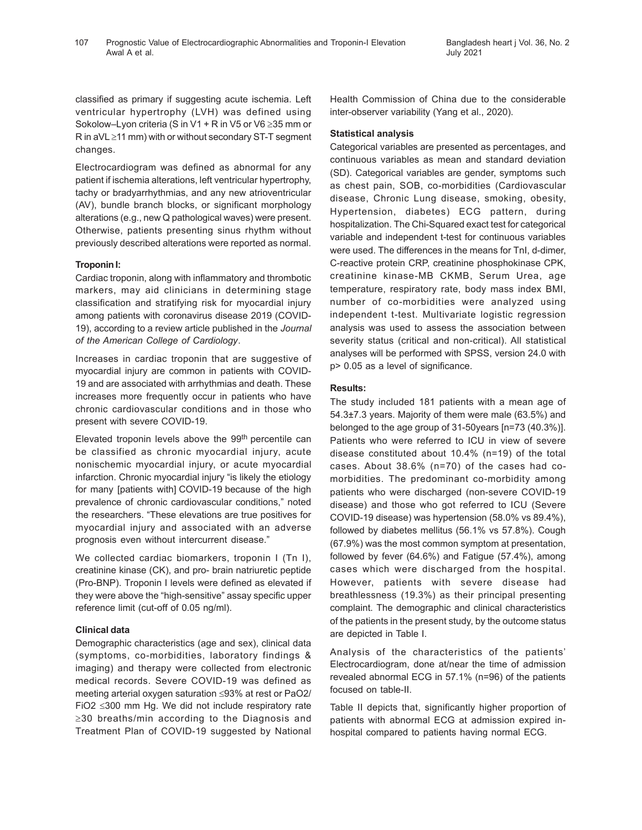classified as primary if suggesting acute ischemia. Left ventricular hypertrophy (LVH) was defined using Sokolow–Lyon criteria (S in V1 + R in V5 or V6 ≥35 mm or R in aVL ≥11 mm) with or without secondary ST-T segment changes.

Electrocardiogram was defined as abnormal for any patient if ischemia alterations, left ventricular hypertrophy, tachy or bradyarrhythmias, and any new atrioventricular (AV), bundle branch blocks, or significant morphology alterations (e.g., new Q pathological waves) were present. Otherwise, patients presenting sinus rhythm without previously described alterations were reported as normal.

# **Troponin I:**

Cardiac troponin, along with inflammatory and thrombotic markers, may aid clinicians in determining stage classification and stratifying risk for myocardial injury among patients with coronavirus disease 2019 (COVID-19), according to a review article published in the *Journal of the American College of Cardiology*.

Increases in cardiac troponin that are suggestive of myocardial injury are common in patients with COVID-19 and are associated with arrhythmias and death. These increases more frequently occur in patients who have chronic cardiovascular conditions and in those who present with severe COVID-19.

Elevated troponin levels above the 99<sup>th</sup> percentile can be classified as chronic myocardial injury, acute nonischemic myocardial injury, or acute myocardial infarction. Chronic myocardial injury "is likely the etiology for many [patients with] COVID-19 because of the high prevalence of chronic cardiovascular conditions," noted the researchers. "These elevations are true positives for myocardial injury and associated with an adverse prognosis even without intercurrent disease."

We collected cardiac biomarkers, troponin I (Tn I), creatinine kinase (CK), and pro- brain natriuretic peptide (Pro-BNP). Troponin I levels were defined as elevated if they were above the "high-sensitive" assay specific upper reference limit (cut-off of 0.05 ng/ml).

# **Clinical data**

Demographic characteristics (age and sex), clinical data (symptoms, co-morbidities, laboratory findings & imaging) and therapy were collected from electronic medical records. Severe COVID-19 was defined as meeting arterial oxygen saturation ≤93% at rest or PaO2/ FiO2 ≤300 mm Hg. We did not include respiratory rate ≥30 breaths/min according to the Diagnosis and Treatment Plan of COVID-19 suggested by National Health Commission of China due to the considerable inter-observer variability (Yang et al., 2020).

## **Statistical analysis**

Categorical variables are presented as percentages, and continuous variables as mean and standard deviation (SD). Categorical variables are gender, symptoms such as chest pain, SOB, co-morbidities (Cardiovascular disease, Chronic Lung disease, smoking, obesity, Hypertension, diabetes) ECG pattern, during hospitalization. The Chi-Squared exact test for categorical variable and independent t-test for continuous variables were used. The differences in the means for TnI, d-dimer, C-reactive protein CRP, creatinine phosphokinase CPK, creatinine kinase-MB CKMB, Serum Urea, age temperature, respiratory rate, body mass index BMI, number of co-morbidities were analyzed using independent t-test. Multivariate logistic regression analysis was used to assess the association between severity status (critical and non-critical). All statistical analyses will be performed with SPSS, version 24.0 with p> 0.05 as a level of significance.

# **Results:**

The study included 181 patients with a mean age of 54.3±7.3 years. Majority of them were male (63.5%) and belonged to the age group of 31-50years [n=73 (40.3%)]. Patients who were referred to ICU in view of severe disease constituted about 10.4% (n=19) of the total cases. About 38.6% (n=70) of the cases had comorbidities. The predominant co-morbidity among patients who were discharged (non-severe COVID-19 disease) and those who got referred to ICU (Severe COVID-19 disease) was hypertension (58.0% vs 89.4%), followed by diabetes mellitus (56.1% vs 57.8%). Cough (67.9%) was the most common symptom at presentation, followed by fever (64.6%) and Fatigue (57.4%), among cases which were discharged from the hospital. However, patients with severe disease had breathlessness (19.3%) as their principal presenting complaint. The demographic and clinical characteristics of the patients in the present study, by the outcome status are depicted in Table I.

Analysis of the characteristics of the patients' Electrocardiogram, done at/near the time of admission revealed abnormal ECG in 57.1% (n=96) of the patients focused on table-II.

Table II depicts that, significantly higher proportion of patients with abnormal ECG at admission expired inhospital compared to patients having normal ECG.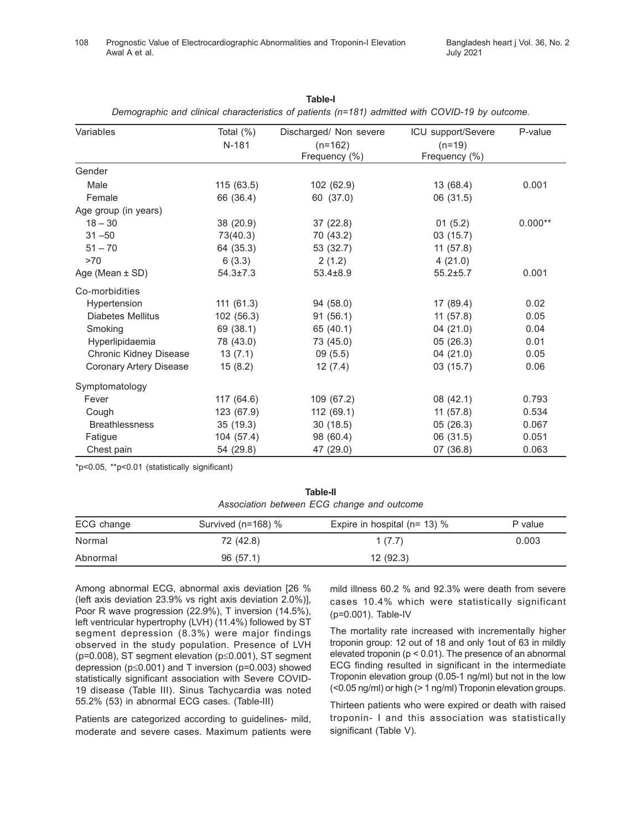| Variables                | Total $(\%)$   | Discharged/ Non severe | ICU support/Severe | P-value   |
|--------------------------|----------------|------------------------|--------------------|-----------|
|                          | $N-181$        | $(n=162)$              | $(n=19)$           |           |
|                          |                | Frequency (%)          | Frequency (%)      |           |
| Gender                   |                |                        |                    |           |
| Male                     | 115(63.5)      | 102 (62.9)             | 13 (68.4)          | 0.001     |
| Female                   | 66 (36.4)      | 60 (37.0)              | 06 (31.5)          |           |
| Age group (in years)     |                |                        |                    |           |
| $18 - 30$                | 38 (20.9)      | 37(22.8)               | 01(5.2)            | $0.000**$ |
| $31 - 50$                | 73(40.3)       | 70 (43.2)              | 03(15.7)           |           |
| $51 - 70$                | 64 (35.3)      | 53 (32.7)              | 11(57.8)           |           |
| >70                      | 6(3.3)         | 2(1.2)                 | 4(21.0)            |           |
| Age (Mean $\pm$ SD)      | $54.3 \pm 7.3$ | $53.4 \pm 8.9$         | $55.2 + 5.7$       | 0.001     |
| Co-morbidities           |                |                        |                    |           |
| Hypertension             | 111(61.3)      | 94 (58.0)              | 17 (89.4)          | 0.02      |
| <b>Diabetes Mellitus</b> | 102 (56.3)     | 91(56.1)               | 11(57.8)           | 0.05      |
| Smoking                  | 69 (38.1)      | 65 (40.1)              | 04 (21.0)          | 0.04      |
| Hyperlipidaemia          | 78 (43.0)      | 73 (45.0)              | 05(26.3)           | 0.01      |
| Chronic Kidney Disease   | 13(7.1)        | 09(5.5)                | 04(21.0)           | 0.05      |
| Coronary Artery Disease  | 15(8.2)        | 12(7.4)                | 03(15.7)           | 0.06      |
| Symptomatology           |                |                        |                    |           |
| Fever                    | 117 (64.6)     | 109 (67.2)             | 08 (42.1)          | 0.793     |
| Cough                    | 123 (67.9)     | 112 (69.1)             | 11(57.8)           | 0.534     |
| <b>Breathlessness</b>    | 35(19.3)       | 30(18.5)               | 05(26.3)           | 0.067     |
| Fatigue                  | 104 (57.4)     | 98 (60.4)              | 06 (31.5)          | 0.051     |
| Chest pain               | 54 (29.8)      | 47 (29.0)              | 07 (36.8)          | 0.063     |

**Table-I** *Demographic and clinical characteristics of patients (n=181) admitted with COVID-19 by outcome.*

\*p<0.05, \*\*p<0.01 (statistically significant)

**Table-II** *Association between ECG change and outcome*

| ECG change | Survived ( $n=168$ ) % | Expire in hospital ( $n = 13$ ) % | P value |
|------------|------------------------|-----------------------------------|---------|
| Normal     | 72 (42.8)              | 1(7.7)                            | 0.003   |
| Abnormal   | 96(57.1)               | 12(92.3)                          |         |

Among abnormal ECG, abnormal axis deviation [26 % (left axis deviation 23.9% vs right axis deviation 2.0%)], Poor R wave progression (22.9%), T inversion (14.5%), left ventricular hypertrophy (LVH) (11.4%) followed by ST segment depression (8.3%) were major findings observed in the study population. Presence of LVH (p=0.008), ST segment elevation (p≤0.001), ST segment depression (p≤0.001) and T inversion (p=0.003) showed statistically significant association with Severe COVID-19 disease (Table III). Sinus Tachycardia was noted 55.2% (53) in abnormal ECG cases. (Table-III)

Patients are categorized according to guidelines- mild, moderate and severe cases. Maximum patients were mild illness 60.2 % and 92.3% were death from severe cases 10.4% which were statistically significant (p=0.001). Table-IV

The mortality rate increased with incrementally higher troponin group: 12 out of 18 and only 1out of 63 in mildly elevated troponin (p < 0.01). The presence of an abnormal ECG finding resulted in significant in the intermediate Troponin elevation group (0.05-1 ng/ml) but not in the low (<0.05 ng/ml) or high (> 1 ng/ml) Troponin elevation groups.

Thirteen patients who were expired or death with raised troponin- I and this association was statistically significant (Table V).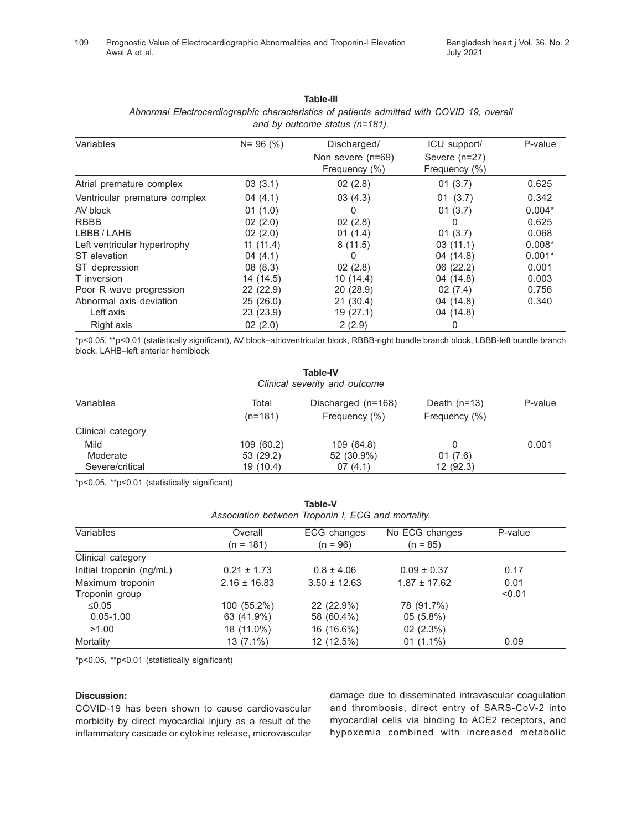| Variables                     | $N = 96 (%)$ | Discharged/<br>Non severe (n=69)<br>Frequency (%) | ICU support/<br>Severe (n=27)<br>Frequency (%) | P-value  |
|-------------------------------|--------------|---------------------------------------------------|------------------------------------------------|----------|
| Atrial premature complex      | 03(3.1)      | 02(2.8)                                           | 01(3.7)                                        | 0.625    |
| Ventricular premature complex | 04(4.1)      | 03(4.3)                                           | 01(3.7)                                        | 0.342    |
| AV block                      | 01(1.0)      | 0                                                 | 01(3.7)                                        | $0.004*$ |
| <b>RBBB</b>                   | 02(2.0)      | 02(2.8)                                           | 0                                              | 0.625    |
| LBBB/LAHB                     | 02(2.0)      | 01(1.4)                                           | 01(3.7)                                        | 0.068    |
| Left ventricular hypertrophy  | 11(11.4)     | 8(11.5)                                           | 03(11.1)                                       | $0.008*$ |
| ST elevation                  | 04(4.1)      | 0                                                 | 04 (14.8)                                      | $0.001*$ |
| ST depression                 | 08(8.3)      | 02(2.8)                                           | 06 (22.2)                                      | 0.001    |
| T inversion                   | 14 (14.5)    | 10(14.4)                                          | 04 (14.8)                                      | 0.003    |
| Poor R wave progression       | 22(22.9)     | 20(28.9)                                          | 02(7.4)                                        | 0.756    |
| Abnormal axis deviation       | 25(26.0)     | 21(30.4)                                          | 04 (14.8)                                      | 0.340    |
| Left axis                     | 23(23.9)     | 19(27.1)                                          | 04 (14.8)                                      |          |
| Right axis                    | 02(2.0)      | 2(2.9)                                            | 0                                              |          |

#### **Table-III** *Abnormal Electrocardiographic characteristics of patients admitted with COVID 19, overall and by outcome status (n=181).*

\*p<0.05, \*\*p<0.01 (statistically significant), AV block–atrioventricular block, RBBB-right bundle branch block, LBBB-left bundle branch block, LAHB–left anterior hemiblock

| <b>Table-IV</b><br>Clinical severity and outcome |            |                    |                |         |  |
|--------------------------------------------------|------------|--------------------|----------------|---------|--|
| Variables                                        | Total      | Discharged (n=168) | Death $(n=13)$ | P-value |  |
|                                                  | $(n=181)$  | Frequency (%)      | Frequency (%)  |         |  |
| Clinical category                                |            |                    |                |         |  |
| Mild                                             | 109 (60.2) | 109 (64.8)         | 0              | 0.001   |  |
| Moderate                                         | 53 (29.2)  | 52 (30.9%)         | 01(7.6)        |         |  |
| Severe/critical                                  | 19 (10.4)  | 07(4.1)            | 12(92.3)       |         |  |

\*p<0.05, \*\*p<0.01 (statistically significant)

| ianic-v<br>Association between Troponin I, ECG and mortality. |                      |                           |                              |         |
|---------------------------------------------------------------|----------------------|---------------------------|------------------------------|---------|
| Variables                                                     | Overall<br>(n = 181) | ECG changes<br>$(n = 96)$ | No ECG changes<br>$(n = 85)$ | P-value |
| Clinical category                                             |                      |                           |                              |         |
| Initial troponin (ng/mL)                                      | $0.21 \pm 1.73$      | $0.8 \pm 4.06$            | $0.09 \pm 0.37$              | 0.17    |
| Maximum troponin                                              | $2.16 \pm 16.83$     | $3.50 \pm 12.63$          | $1.87 \pm 17.62$             | 0.01    |
| Troponin group                                                |                      |                           |                              | < 0.01  |
| ≤0.05                                                         | 100 (55.2%)          | 22 (22.9%)                | 78 (91.7%)                   |         |
| $0.05 - 1.00$                                                 | 63 (41.9%)           | 58 (60.4%)                | $05(5.8\%)$                  |         |
| >1.00                                                         | 18 (11.0%)           | 16 (16.6%)                | 02(2.3%)                     |         |
| Mortality                                                     | 13 (7.1%)            | 12 (12.5%)                | $01(1.1\%)$                  | 0.09    |

**Table-V**

\*p<0.05, \*\*p<0.01 (statistically significant)

#### **Discussion:**

COVID-19 has been shown to cause cardiovascular morbidity by direct myocardial injury as a result of the inflammatory cascade or cytokine release, microvascular damage due to disseminated intravascular coagulation and thrombosis, direct entry of SARS-CoV-2 into myocardial cells via binding to ACE2 receptors, and hypoxemia combined with increased metabolic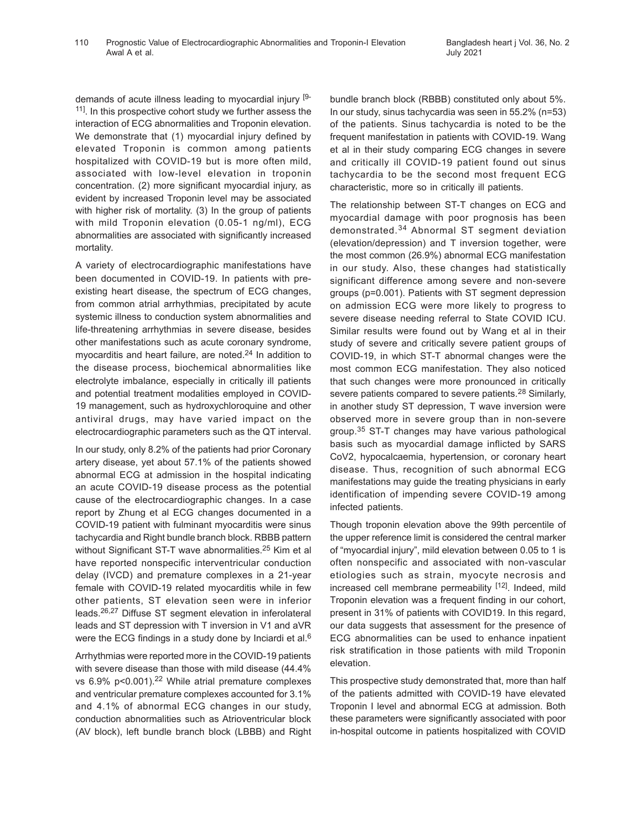demands of acute illness leading to myocardial injury [9- <sup>11]</sup>. In this prospective cohort study we further assess the interaction of ECG abnormalities and Troponin elevation. We demonstrate that (1) myocardial injury defined by elevated Troponin is common among patients hospitalized with COVID-19 but is more often mild, associated with low-level elevation in troponin concentration. (2) more significant myocardial injury, as evident by increased Troponin level may be associated with higher risk of mortality. (3) In the group of patients with mild Troponin elevation (0.05-1 ng/ml), ECG abnormalities are associated with significantly increased mortality.

A variety of electrocardiographic manifestations have been documented in COVID-19. In patients with preexisting heart disease, the spectrum of ECG changes, from common atrial arrhythmias, precipitated by acute systemic illness to conduction system abnormalities and life-threatening arrhythmias in severe disease, besides other manifestations such as acute coronary syndrome, myocarditis and heart failure, are noted.24 In addition to the disease process, biochemical abnormalities like electrolyte imbalance, especially in critically ill patients and potential treatment modalities employed in COVID-19 management, such as hydroxychloroquine and other antiviral drugs, may have varied impact on the electrocardiographic parameters such as the QT interval.

In our study, only 8.2% of the patients had prior Coronary artery disease, yet about 57.1% of the patients showed abnormal ECG at admission in the hospital indicating an acute COVID-19 disease process as the potential cause of the electrocardiographic changes. In a case report by Zhung et al ECG changes documented in a COVID-19 patient with fulminant myocarditis were sinus tachycardia and Right bundle branch block. RBBB pattern without Significant ST-T wave abnormalities.<sup>25</sup> Kim et al have reported nonspecific interventricular conduction delay (IVCD) and premature complexes in a 21-year female with COVID-19 related myocarditis while in few other patients, ST elevation seen were in inferior leads.26,27 Diffuse ST segment elevation in inferolateral leads and ST depression with T inversion in V1 and aVR were the ECG findings in a study done by Inciardi et al.<sup>6</sup>

Arrhythmias were reported more in the COVID-19 patients with severe disease than those with mild disease (44.4% vs  $6.9\%$  p<0.001).<sup>22</sup> While atrial premature complexes and ventricular premature complexes accounted for 3.1% and 4.1% of abnormal ECG changes in our study, conduction abnormalities such as Atrioventricular block (AV block), left bundle branch block (LBBB) and Right bundle branch block (RBBB) constituted only about 5%. In our study, sinus tachycardia was seen in 55.2% (n=53) of the patients. Sinus tachycardia is noted to be the frequent manifestation in patients with COVID-19. Wang et al in their study comparing ECG changes in severe and critically ill COVID-19 patient found out sinus tachycardia to be the second most frequent ECG characteristic, more so in critically ill patients.

The relationship between ST-T changes on ECG and myocardial damage with poor prognosis has been demonstrated.<sup>34</sup> Abnormal ST segment deviation (elevation/depression) and T inversion together, were the most common (26.9%) abnormal ECG manifestation in our study. Also, these changes had statistically significant difference among severe and non-severe groups (p=0.001). Patients with ST segment depression on admission ECG were more likely to progress to severe disease needing referral to State COVID ICU. Similar results were found out by Wang et al in their study of severe and critically severe patient groups of COVID-19, in which ST-T abnormal changes were the most common ECG manifestation. They also noticed that such changes were more pronounced in critically severe patients compared to severe patients.<sup>28</sup> Similarly, in another study ST depression, T wave inversion were observed more in severe group than in non-severe group.35 ST-T changes may have various pathological basis such as myocardial damage inflicted by SARS CoV2, hypocalcaemia, hypertension, or coronary heart disease. Thus, recognition of such abnormal ECG manifestations may guide the treating physicians in early identification of impending severe COVID-19 among infected patients.

Though troponin elevation above the 99th percentile of the upper reference limit is considered the central marker of "myocardial injury", mild elevation between 0.05 to 1 is often nonspecific and associated with non-vascular etiologies such as strain, myocyte necrosis and increased cell membrane permeability [12]. Indeed, mild Troponin elevation was a frequent finding in our cohort, present in 31% of patients with COVID19. In this regard, our data suggests that assessment for the presence of ECG abnormalities can be used to enhance inpatient risk stratification in those patients with mild Troponin elevation.

This prospective study demonstrated that, more than half of the patients admitted with COVID-19 have elevated Troponin I level and abnormal ECG at admission. Both these parameters were significantly associated with poor in-hospital outcome in patients hospitalized with COVID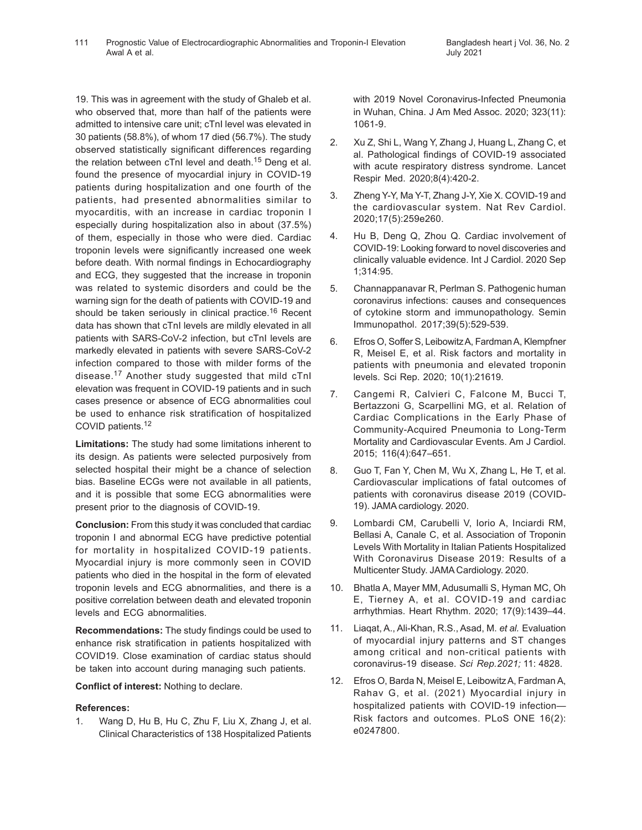19. This was in agreement with the study of Ghaleb et al. who observed that, more than half of the patients were admitted to intensive care unit; cTnI level was elevated in 30 patients (58.8%), of whom 17 died (56.7%). The study observed statistically significant differences regarding the relation between cTnI level and death.15 Deng et al. found the presence of myocardial injury in COVID-19 patients during hospitalization and one fourth of the patients, had presented abnormalities similar to myocarditis, with an increase in cardiac troponin I especially during hospitalization also in about (37.5%) of them, especially in those who were died. Cardiac troponin levels were significantly increased one week before death. With normal findings in Echocardiography and ECG, they suggested that the increase in troponin was related to systemic disorders and could be the warning sign for the death of patients with COVID-19 and should be taken seriously in clinical practice.<sup>16</sup> Recent data has shown that cTnI levels are mildly elevated in all patients with SARS-CoV-2 infection, but cTnI levels are markedly elevated in patients with severe SARS-CoV-2 infection compared to those with milder forms of the disease.<sup>17</sup> Another study suggested that mild cTnI elevation was frequent in COVID-19 patients and in such cases presence or absence of ECG abnormalities coul be used to enhance risk stratification of hospitalized COVID patients.<sup>12</sup>

**Limitations:** The study had some limitations inherent to its design. As patients were selected purposively from selected hospital their might be a chance of selection bias. Baseline ECGs were not available in all patients, and it is possible that some ECG abnormalities were present prior to the diagnosis of COVID-19.

**Conclusion:** From this study it was concluded that cardiac troponin I and abnormal ECG have predictive potential for mortality in hospitalized COVID-19 patients. Myocardial injury is more commonly seen in COVID patients who died in the hospital in the form of elevated troponin levels and ECG abnormalities, and there is a positive correlation between death and elevated troponin levels and ECG abnormalities.

**Recommendations:** The study findings could be used to enhance risk stratification in patients hospitalized with COVID19. Close examination of cardiac status should be taken into account during managing such patients.

**Conflict of interest:** Nothing to declare.

# **References:**

1. Wang D, Hu B, Hu C, Zhu F, Liu X, Zhang J, et al. Clinical Characteristics of 138 Hospitalized Patients with 2019 Novel Coronavirus-Infected Pneumonia in Wuhan, China. J Am Med Assoc. 2020; 323(11): 1061-9.

- 2. Xu Z, Shi L, Wang Y, Zhang J, Huang L, Zhang C, et al. Pathological findings of COVID-19 associated with acute respiratory distress syndrome. Lancet Respir Med. 2020;8(4):420-2.
- 3. Zheng Y-Y, Ma Y-T, Zhang J-Y, Xie X. COVID-19 and the cardiovascular system. Nat Rev Cardiol. 2020;17(5):259e260.
- 4. Hu B, Deng Q, Zhou Q. Cardiac involvement of COVID-19: Looking forward to novel discoveries and clinically valuable evidence. Int J Cardiol. 2020 Sep 1;314:95.
- 5. Channappanavar R, Perlman S. Pathogenic human coronavirus infections: causes and consequences of cytokine storm and immunopathology. Semin Immunopathol. 2017;39(5):529-539.
- 6. Efros O, Soffer S, Leibowitz A, Fardman A, Klempfner R, Meisel E, et al. Risk factors and mortality in patients with pneumonia and elevated troponin levels. Sci Rep. 2020; 10(1):21619.
- 7. Cangemi R, Calvieri C, Falcone M, Bucci T, Bertazzoni G, Scarpellini MG, et al. Relation of Cardiac Complications in the Early Phase of Community-Acquired Pneumonia to Long-Term Mortality and Cardiovascular Events. Am J Cardiol. 2015; 116(4):647–651.
- 8. Guo T, Fan Y, Chen M, Wu X, Zhang L, He T, et al. Cardiovascular implications of fatal outcomes of patients with coronavirus disease 2019 (COVID-19). JAMA cardiology. 2020.
- 9. Lombardi CM, Carubelli V, Iorio A, Inciardi RM, Bellasi A, Canale C, et al. Association of Troponin Levels With Mortality in Italian Patients Hospitalized With Coronavirus Disease 2019: Results of a Multicenter Study. JAMA Cardiology. 2020.
- 10. Bhatla A, Mayer MM, Adusumalli S, Hyman MC, Oh E, Tierney A, et al. COVID-19 and cardiac arrhythmias. Heart Rhythm. 2020; 17(9):1439–44.
- 11. Liaqat, A., Ali-Khan, R.S., Asad, M. *et al.* Evaluation of myocardial injury patterns and ST changes among critical and non-critical patients with coronavirus-19 disease. *Sci Rep.2021;* 11: 4828.
- 12. Efros O, Barda N, Meisel E, Leibowitz A, Fardman A, Rahav G, et al. (2021) Myocardial injury in hospitalized patients with COVID-19 infection— Risk factors and outcomes. PLoS ONE 16(2): e0247800.